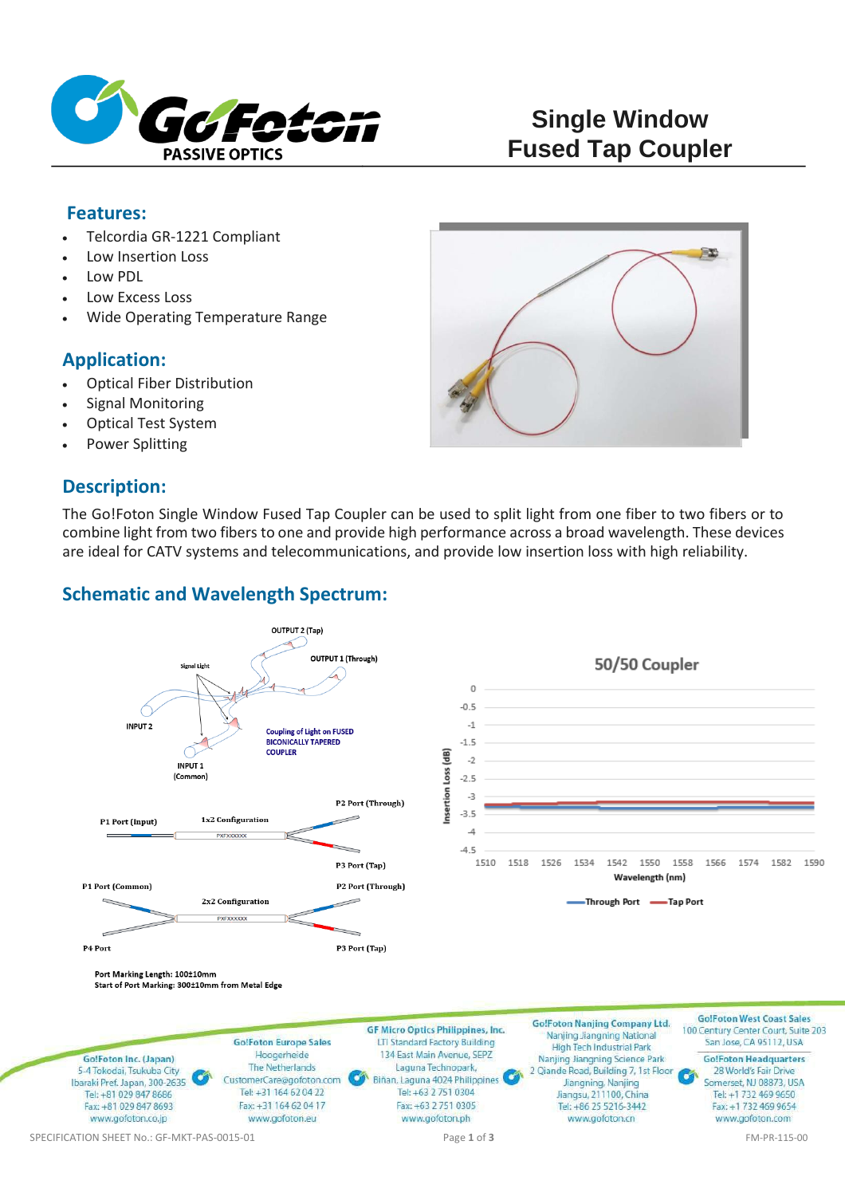

#### **Features:**

- Telcordia GR-1221 Compliant
- Low Insertion Loss
- Low PDL
- Low Excess Loss
- Wide Operating Temperature Range

### **Application:**

- Optical Fiber Distribution
- Signal Monitoring
- Optical Test System
- Power Splitting

### **Description:**



The Go!Foton Single Window Fused Tap Coupler can be used to split light from one fiber to two fibers or to combine light from two fibers to one and provide high performance across a broad wavelength. These devices are ideal for CATV systems and telecommunications, and provide low insertion loss with high reliability.

### **Schematic and Wavelength Spectrum:**

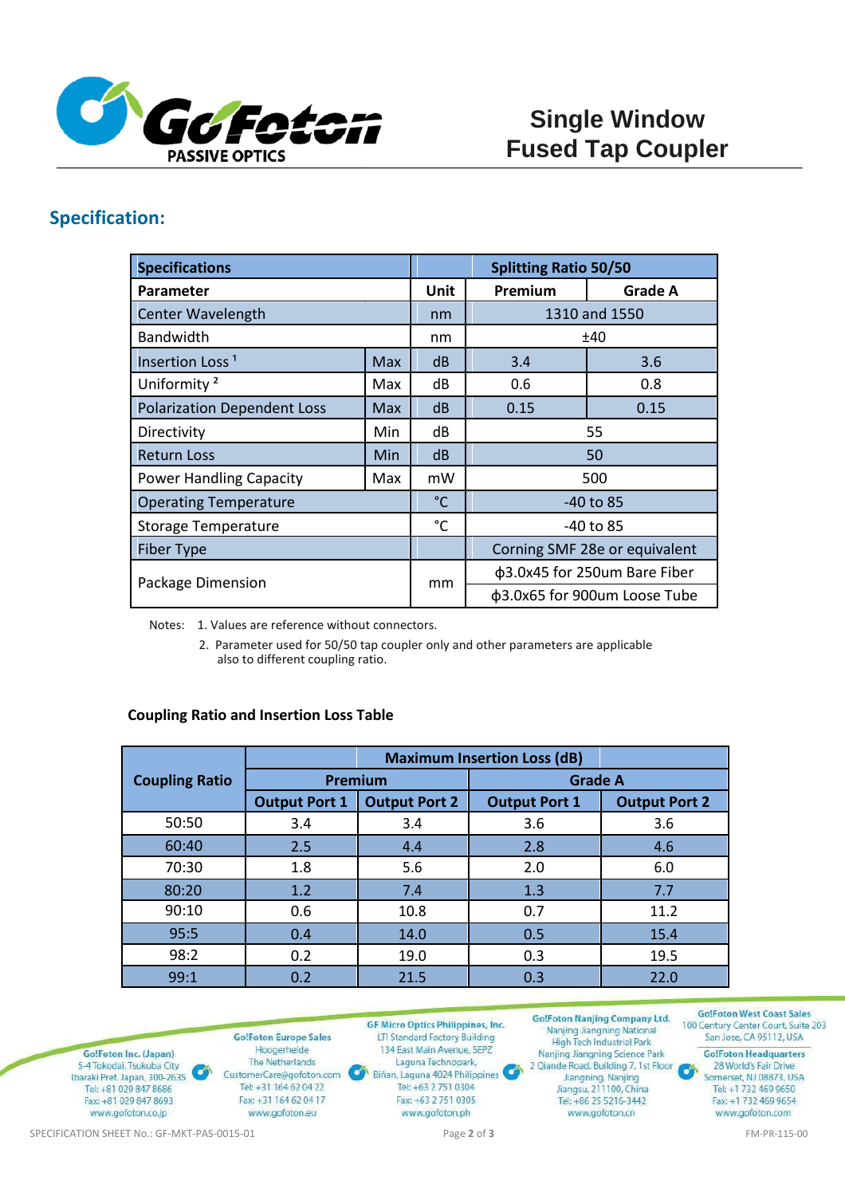

# **Specification:**

| <b>Specifications</b>              |            | <b>Splitting Ratio 50/50</b> |                               |                |
|------------------------------------|------------|------------------------------|-------------------------------|----------------|
| Parameter                          |            | Unit                         | Premium                       | <b>Grade A</b> |
| <b>Center Wavelength</b>           |            | nm                           | 1310 and 1550                 |                |
| <b>Bandwidth</b>                   |            | nm                           | ±40                           |                |
| Insertion Loss <sup>1</sup>        | <b>Max</b> | dB                           | 3.4                           | 3.6            |
| Uniformity <sup>2</sup>            | Max        | dB                           | 0.6                           | 0.8            |
| <b>Polarization Dependent Loss</b> | Max        | dB                           | 0.15                          | 0.15           |
| Directivity                        | Min        | dB                           | 55                            |                |
| <b>Return Loss</b>                 | Min        | dB                           | 50                            |                |
| <b>Power Handling Capacity</b>     | Max        | mW                           | 500                           |                |
| <b>Operating Temperature</b>       |            | $^{\circ}$ C                 | -40 to 85                     |                |
| <b>Storage Temperature</b>         |            | $^{\circ}$ C                 | -40 to 85                     |                |
| <b>Fiber Type</b>                  |            |                              | Corning SMF 28e or equivalent |                |
| Package Dimension                  |            | mm                           | φ3.0x45 for 250um Bare Fiber  |                |
|                                    |            |                              | φ3.0x65 for 900um Loose Tube  |                |

Notes: 1. Values are reference without connectors.

2. Parameter used for 50/50 tap coupler only and other parameters are applicable also to different coupling ratio.

#### **Coupling Ratio and Insertion Loss Table**

|                       |                      | <b>Maximum Insertion Loss (dB)</b> |                      |                      |
|-----------------------|----------------------|------------------------------------|----------------------|----------------------|
| <b>Coupling Ratio</b> | Premium              |                                    | <b>Grade A</b>       |                      |
|                       | <b>Output Port 1</b> | <b>Output Port 2</b>               | <b>Output Port 1</b> | <b>Output Port 2</b> |
| 50:50                 | 3.4                  | 3.4                                | 3.6                  | 3.6                  |
| 60:40                 | 2.5                  | 4.4                                | 2.8                  | 4.6                  |
| 70:30                 | 1.8                  | 5.6                                | 2.0                  | 6.0                  |
| 80:20                 | 1.2                  | 7.4                                | 1.3                  | 7.7                  |
| 90:10                 | 0.6                  | 10.8                               | 0.7                  | 11.2                 |
| 95:5                  | 0.4                  | 14.0                               | 0.5                  | 15.4                 |
| 98:2                  | 0.2                  | 19.0                               | 0.3                  | 19.5                 |
| 99:1                  | 0.2                  | 21.5                               | 0.3                  | 22.0                 |



**GolFoton Europe Sales** Hoogerheide The Netherlands CustomerCare@gofoton.com Biñan, Laguna 4024 Philippines Tel: +31 164 62 04 22 Fax: +31 164 62 04 17 www.gofoton.eu

**GF Micro Optics Philippines, Inc.** LTI Standard Factory Building 134 East Main Avenue, SEPZ Laguna Technopark, Tel: +63 2 751 0304 Fax: +63 2 751 0305 www.gofoton.ph

Go!Foton Nanjing Company Ltd.

Nanjing Jiangning National

**Go!Foton West Coast Sales** 100 Century Center Court, Suite 203 San Jose, CA 95112, USA

**Go!Foton Headquarters** 28 World's Fair Drive **Ca** Somerset, NJ 08873, USA Tel: +1 732 469 9650 Fax: +1 732 469 9654 www.gofoton.com